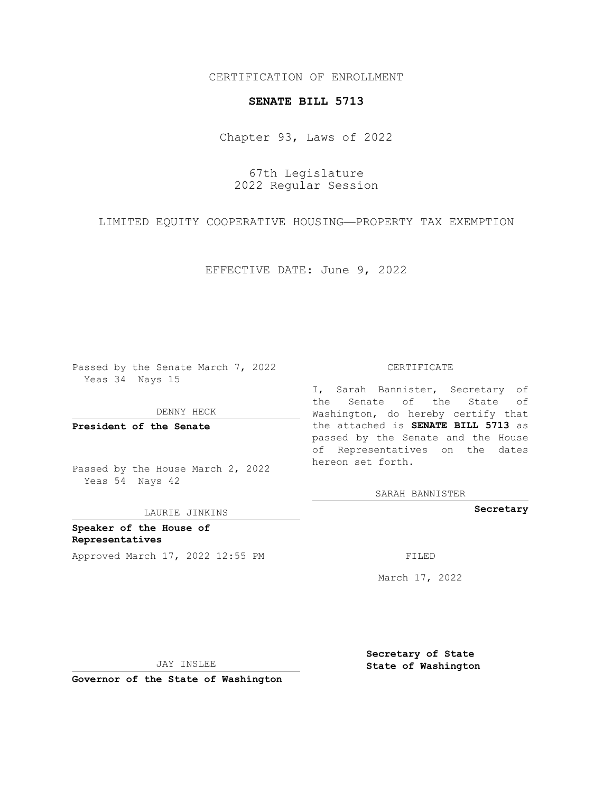CERTIFICATION OF ENROLLMENT

## **SENATE BILL 5713**

Chapter 93, Laws of 2022

67th Legislature 2022 Regular Session

LIMITED EQUITY COOPERATIVE HOUSING—PROPERTY TAX EXEMPTION

EFFECTIVE DATE: June 9, 2022

Passed by the Senate March 7, 2022 Yeas 34 Nays 15

DENNY HECK

**President of the Senate**

Passed by the House March 2, 2022 Yeas 54 Nays 42

LAURIE JINKINS

**Speaker of the House of Representatives** Approved March 17, 2022 12:55 PM FILED

## CERTIFICATE

I, Sarah Bannister, Secretary of the Senate of the State of Washington, do hereby certify that the attached is **SENATE BILL 5713** as passed by the Senate and the House of Representatives on the dates hereon set forth.

SARAH BANNISTER

**Secretary**

March 17, 2022

JAY INSLEE

**Governor of the State of Washington**

**Secretary of State State of Washington**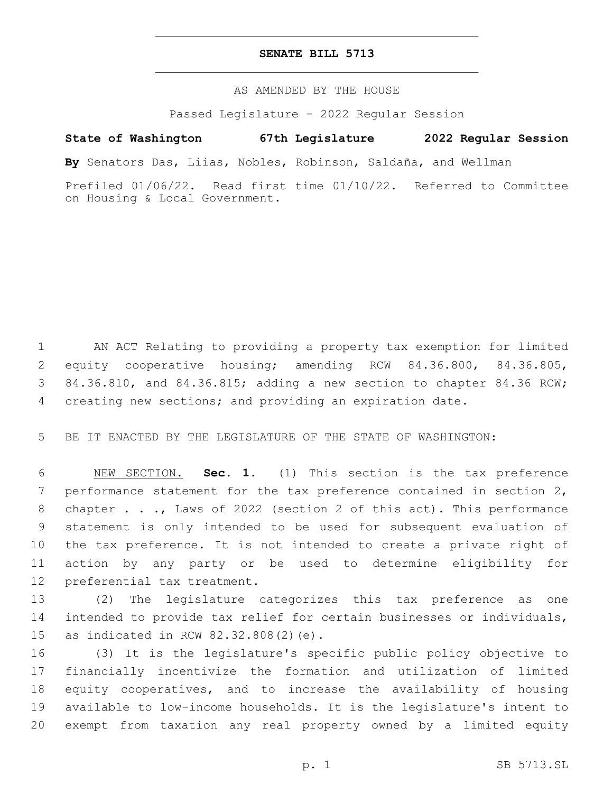## **SENATE BILL 5713**

AS AMENDED BY THE HOUSE

Passed Legislature - 2022 Regular Session

## **State of Washington 67th Legislature 2022 Regular Session**

**By** Senators Das, Liias, Nobles, Robinson, Saldaña, and Wellman

Prefiled 01/06/22. Read first time 01/10/22. Referred to Committee on Housing & Local Government.

 AN ACT Relating to providing a property tax exemption for limited equity cooperative housing; amending RCW 84.36.800, 84.36.805, 84.36.810, and 84.36.815; adding a new section to chapter 84.36 RCW; creating new sections; and providing an expiration date.

BE IT ENACTED BY THE LEGISLATURE OF THE STATE OF WASHINGTON:

 NEW SECTION. **Sec. 1.** (1) This section is the tax preference performance statement for the tax preference contained in section 2, chapter . . ., Laws of 2022 (section 2 of this act). This performance statement is only intended to be used for subsequent evaluation of the tax preference. It is not intended to create a private right of action by any party or be used to determine eligibility for preferential tax treatment.

 (2) The legislature categorizes this tax preference as one intended to provide tax relief for certain businesses or individuals, 15 as indicated in RCW 82.32.808(2)(e).

 (3) It is the legislature's specific public policy objective to financially incentivize the formation and utilization of limited equity cooperatives, and to increase the availability of housing available to low-income households. It is the legislature's intent to exempt from taxation any real property owned by a limited equity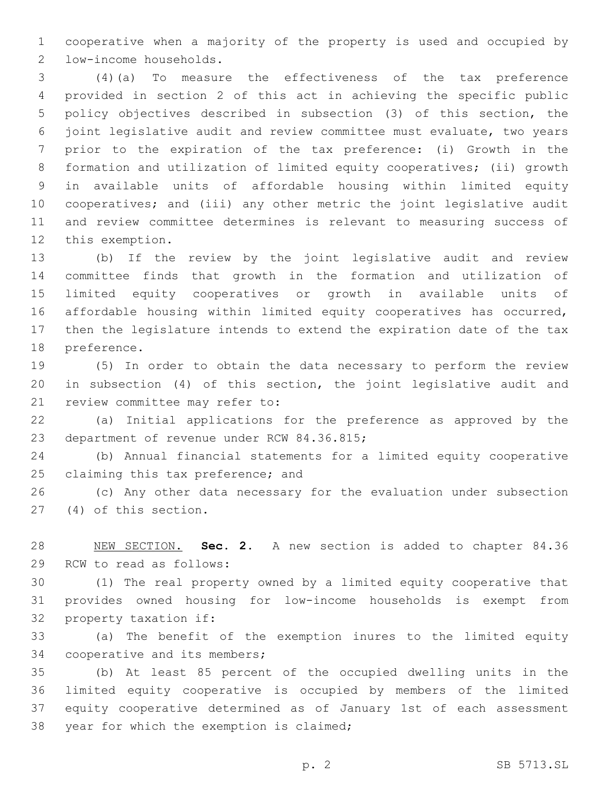cooperative when a majority of the property is used and occupied by 2 low-income households.

 (4)(a) To measure the effectiveness of the tax preference provided in section 2 of this act in achieving the specific public policy objectives described in subsection (3) of this section, the joint legislative audit and review committee must evaluate, two years prior to the expiration of the tax preference: (i) Growth in the formation and utilization of limited equity cooperatives; (ii) growth in available units of affordable housing within limited equity cooperatives; and (iii) any other metric the joint legislative audit and review committee determines is relevant to measuring success of 12 this exemption.

 (b) If the review by the joint legislative audit and review committee finds that growth in the formation and utilization of limited equity cooperatives or growth in available units of affordable housing within limited equity cooperatives has occurred, then the legislature intends to extend the expiration date of the tax 18 preference.

 (5) In order to obtain the data necessary to perform the review in subsection (4) of this section, the joint legislative audit and 21 review committee may refer to:

 (a) Initial applications for the preference as approved by the 23 department of revenue under RCW 84.36.815;

 (b) Annual financial statements for a limited equity cooperative 25 claiming this tax preference; and

 (c) Any other data necessary for the evaluation under subsection 27 (4) of this section.

 NEW SECTION. **Sec. 2.** A new section is added to chapter 84.36 29 RCW to read as follows:

 (1) The real property owned by a limited equity cooperative that provides owned housing for low-income households is exempt from 32 property taxation if:

 (a) The benefit of the exemption inures to the limited equity 34 cooperative and its members;

 (b) At least 85 percent of the occupied dwelling units in the limited equity cooperative is occupied by members of the limited equity cooperative determined as of January 1st of each assessment 38 year for which the exemption is claimed;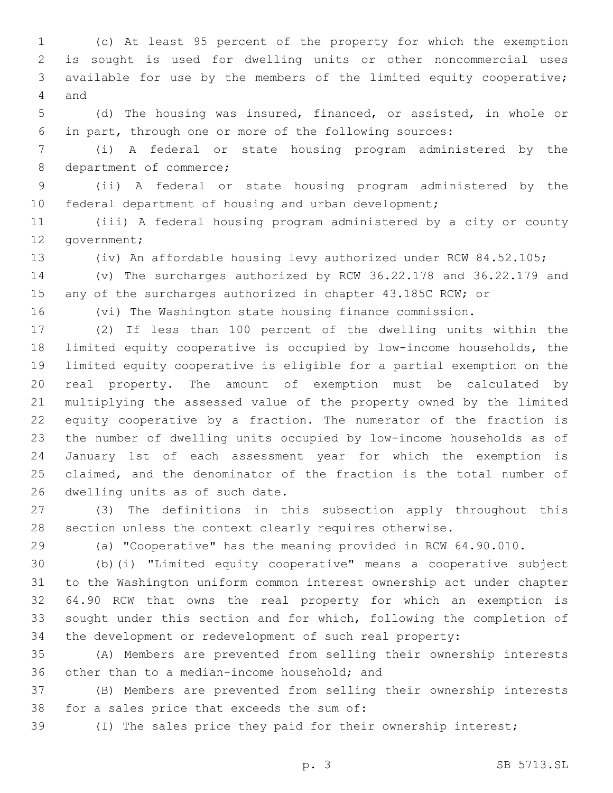(c) At least 95 percent of the property for which the exemption is sought is used for dwelling units or other noncommercial uses available for use by the members of the limited equity cooperative; 4 and

 (d) The housing was insured, financed, or assisted, in whole or in part, through one or more of the following sources:

 (i) A federal or state housing program administered by the 8 department of commerce;

 (ii) A federal or state housing program administered by the 10 federal department of housing and urban development;

 (iii) A federal housing program administered by a city or county 12 government;

(iv) An affordable housing levy authorized under RCW 84.52.105;

 (v) The surcharges authorized by RCW 36.22.178 and 36.22.179 and 15 any of the surcharges authorized in chapter 43.185C RCW; or

(vi) The Washington state housing finance commission.

 (2) If less than 100 percent of the dwelling units within the limited equity cooperative is occupied by low-income households, the limited equity cooperative is eligible for a partial exemption on the real property. The amount of exemption must be calculated by multiplying the assessed value of the property owned by the limited 22 equity cooperative by a fraction. The numerator of the fraction is the number of dwelling units occupied by low-income households as of January 1st of each assessment year for which the exemption is claimed, and the denominator of the fraction is the total number of 26 dwelling units as of such date.

 (3) The definitions in this subsection apply throughout this section unless the context clearly requires otherwise.

(a) "Cooperative" has the meaning provided in RCW 64.90.010.

 (b)(i) "Limited equity cooperative" means a cooperative subject to the Washington uniform common interest ownership act under chapter 64.90 RCW that owns the real property for which an exemption is sought under this section and for which, following the completion of the development or redevelopment of such real property:

 (A) Members are prevented from selling their ownership interests 36 other than to a median-income household; and

 (B) Members are prevented from selling their ownership interests 38 for a sales price that exceeds the sum of:

(I) The sales price they paid for their ownership interest;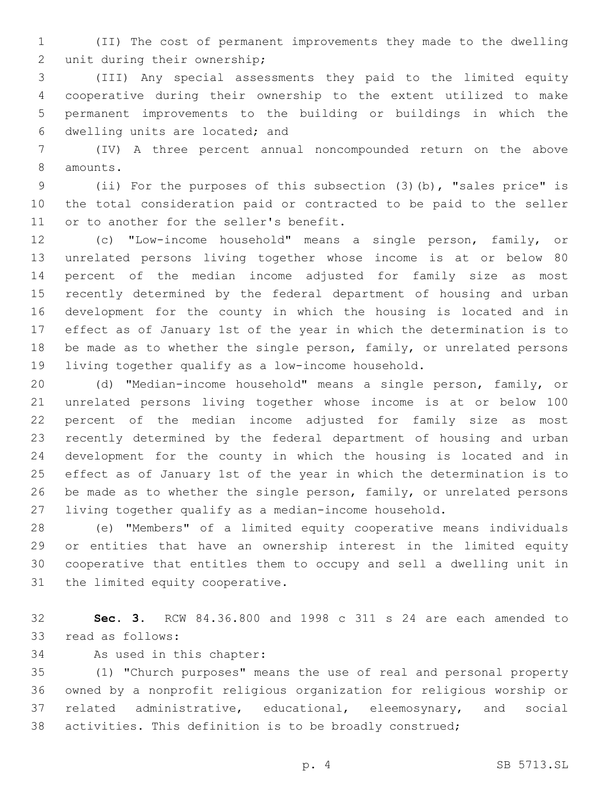(II) The cost of permanent improvements they made to the dwelling 2 unit during their ownership;

 (III) Any special assessments they paid to the limited equity cooperative during their ownership to the extent utilized to make permanent improvements to the building or buildings in which the 6 dwelling units are located; and

 (IV) A three percent annual noncompounded return on the above 8 amounts.

 (ii) For the purposes of this subsection (3)(b), "sales price" is the total consideration paid or contracted to be paid to the seller 11 or to another for the seller's benefit.

 (c) "Low-income household" means a single person, family, or unrelated persons living together whose income is at or below 80 percent of the median income adjusted for family size as most recently determined by the federal department of housing and urban development for the county in which the housing is located and in effect as of January 1st of the year in which the determination is to be made as to whether the single person, family, or unrelated persons living together qualify as a low-income household.

 (d) "Median-income household" means a single person, family, or unrelated persons living together whose income is at or below 100 percent of the median income adjusted for family size as most recently determined by the federal department of housing and urban development for the county in which the housing is located and in effect as of January 1st of the year in which the determination is to be made as to whether the single person, family, or unrelated persons living together qualify as a median-income household.

 (e) "Members" of a limited equity cooperative means individuals or entities that have an ownership interest in the limited equity cooperative that entitles them to occupy and sell a dwelling unit in 31 the limited equity cooperative.

 **Sec. 3.** RCW 84.36.800 and 1998 c 311 s 24 are each amended to 33 read as follows:

34 As used in this chapter:

 (1) "Church purposes" means the use of real and personal property owned by a nonprofit religious organization for religious worship or related administrative, educational, eleemosynary, and social activities. This definition is to be broadly construed;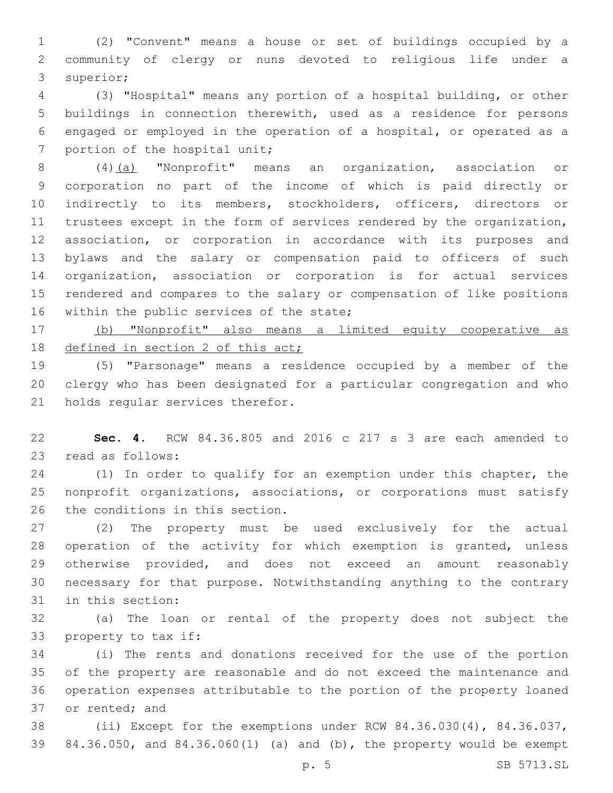(2) "Convent" means a house or set of buildings occupied by a community of clergy or nuns devoted to religious life under a 3 superior;

 (3) "Hospital" means any portion of a hospital building, or other buildings in connection therewith, used as a residence for persons engaged or employed in the operation of a hospital, or operated as a 7 portion of the hospital unit;

 (4)(a) "Nonprofit" means an organization, association or corporation no part of the income of which is paid directly or indirectly to its members, stockholders, officers, directors or 11 trustees except in the form of services rendered by the organization, association, or corporation in accordance with its purposes and bylaws and the salary or compensation paid to officers of such organization, association or corporation is for actual services rendered and compares to the salary or compensation of like positions 16 within the public services of the state;

 (b) "Nonprofit" also means a limited equity cooperative as 18 defined in section 2 of this act;

 (5) "Parsonage" means a residence occupied by a member of the clergy who has been designated for a particular congregation and who 21 holds regular services therefor.

 **Sec. 4.** RCW 84.36.805 and 2016 c 217 s 3 are each amended to 23 read as follows:

 (1) In order to qualify for an exemption under this chapter, the nonprofit organizations, associations, or corporations must satisfy 26 the conditions in this section.

 (2) The property must be used exclusively for the actual operation of the activity for which exemption is granted, unless 29 otherwise provided, and does not exceed an amount reasonably necessary for that purpose. Notwithstanding anything to the contrary 31 in this section:

 (a) The loan or rental of the property does not subject the 33 property to tax if:

 (i) The rents and donations received for the use of the portion of the property are reasonable and do not exceed the maintenance and operation expenses attributable to the portion of the property loaned 37 or rented; and

 (ii) Except for the exemptions under RCW 84.36.030(4), 84.36.037, 84.36.050, and 84.36.060(1) (a) and (b), the property would be exempt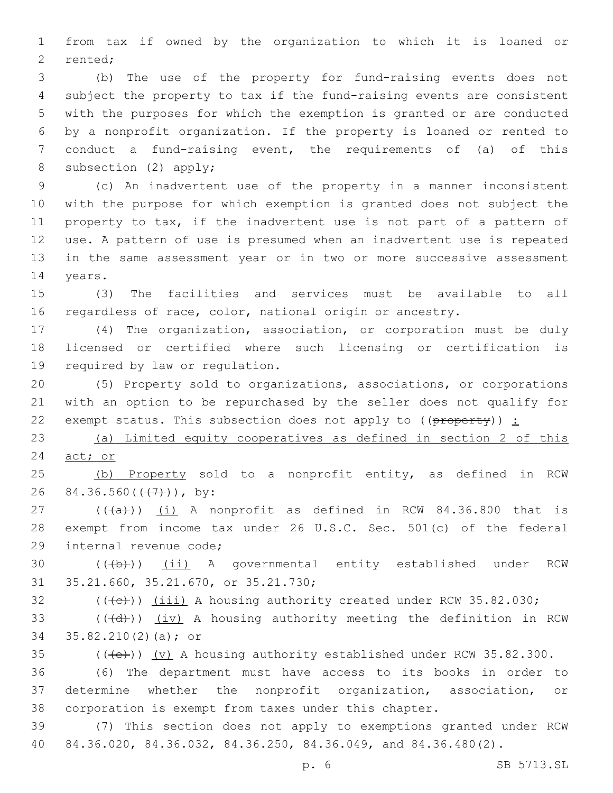from tax if owned by the organization to which it is loaned or 2 rented;

 (b) The use of the property for fund-raising events does not subject the property to tax if the fund-raising events are consistent with the purposes for which the exemption is granted or are conducted by a nonprofit organization. If the property is loaned or rented to conduct a fund-raising event, the requirements of (a) of this 8 subsection (2) apply;

 (c) An inadvertent use of the property in a manner inconsistent with the purpose for which exemption is granted does not subject the property to tax, if the inadvertent use is not part of a pattern of use. A pattern of use is presumed when an inadvertent use is repeated in the same assessment year or in two or more successive assessment 14 years.

 (3) The facilities and services must be available to all regardless of race, color, national origin or ancestry.

 (4) The organization, association, or corporation must be duly licensed or certified where such licensing or certification is 19 required by law or regulation.

 (5) Property sold to organizations, associations, or corporations with an option to be repurchased by the seller does not qualify for 22 exempt status. This subsection does not apply to  $((\theta \text{rebo} + \theta))$ :

 (a) Limited equity cooperatives as defined in section 2 of this act; or

 (b) Property sold to a nonprofit entity, as defined in RCW 26 84.36.560 $((+7))$ , by:

 $((+a))$   $(i)$  A nonprofit as defined in RCW 84.36.800 that is exempt from income tax under 26 U.S.C. Sec. 501(c) of the federal 29 internal revenue code;

30 (((b)) (ii) A governmental entity established under RCW 31 35.21.660, 35.21.670, or 35.21.730;

 $($  ( $(\text{+e})$ )  $(iii)$  A housing authority created under RCW 35.82.030;

 (( $\left(\frac{1}{x} + \frac{1}{y}\right)$ ) (iv) A housing authority meeting the definition in RCW 34 35.82.210(2)(a); or

 $(1 + e)$ ) (v) A housing authority established under RCW 35.82.300.

 (6) The department must have access to its books in order to determine whether the nonprofit organization, association, or corporation is exempt from taxes under this chapter.

 (7) This section does not apply to exemptions granted under RCW 84.36.020, 84.36.032, 84.36.250, 84.36.049, and 84.36.480(2).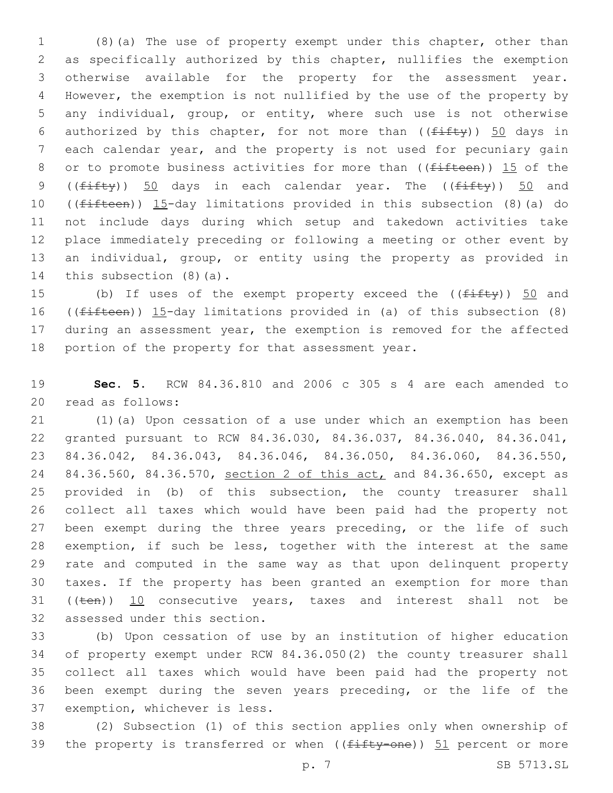(8)(a) The use of property exempt under this chapter, other than as specifically authorized by this chapter, nullifies the exemption otherwise available for the property for the assessment year. However, the exemption is not nullified by the use of the property by any individual, group, or entity, where such use is not otherwise 6 authorized by this chapter, for not more than  $((f\text{iff}y))$  50 days in each calendar year, and the property is not used for pecuniary gain 8 or to promote business activities for more than ( $(f<sup>if</sup>Heen)$ ) 15 of the 9 ( $(fiff(y))$  50 days in each calendar year. The ( $(fiff(y))$  50 and ((fifteen)) 15-day limitations provided in this subsection (8)(a) do not include days during which setup and takedown activities take place immediately preceding or following a meeting or other event by an individual, group, or entity using the property as provided in 14 this subsection  $(8)(a)$ .

15 (b) If uses of the exempt property exceed the (( $f$ ifty)) 50 and ((fifteen)) 15-day limitations provided in (a) of this subsection (8) during an assessment year, the exemption is removed for the affected 18 portion of the property for that assessment year.

 **Sec. 5.** RCW 84.36.810 and 2006 c 305 s 4 are each amended to 20 read as follows:

 (1)(a) Upon cessation of a use under which an exemption has been granted pursuant to RCW 84.36.030, 84.36.037, 84.36.040, 84.36.041, 84.36.042, 84.36.043, 84.36.046, 84.36.050, 84.36.060, 84.36.550, 24 84.36.560, 84.36.570, section 2 of this act, and 84.36.650, except as provided in (b) of this subsection, the county treasurer shall collect all taxes which would have been paid had the property not 27 been exempt during the three years preceding, or the life of such exemption, if such be less, together with the interest at the same rate and computed in the same way as that upon delinquent property taxes. If the property has been granted an exemption for more than 31 ((ten)) 10 consecutive years, taxes and interest shall not be 32 assessed under this section.

 (b) Upon cessation of use by an institution of higher education of property exempt under RCW 84.36.050(2) the county treasurer shall collect all taxes which would have been paid had the property not been exempt during the seven years preceding, or the life of the 37 exemption, whichever is less.

 (2) Subsection (1) of this section applies only when ownership of 39 the property is transferred or when  $((f<sub>iffty</sub>-one))$  51 percent or more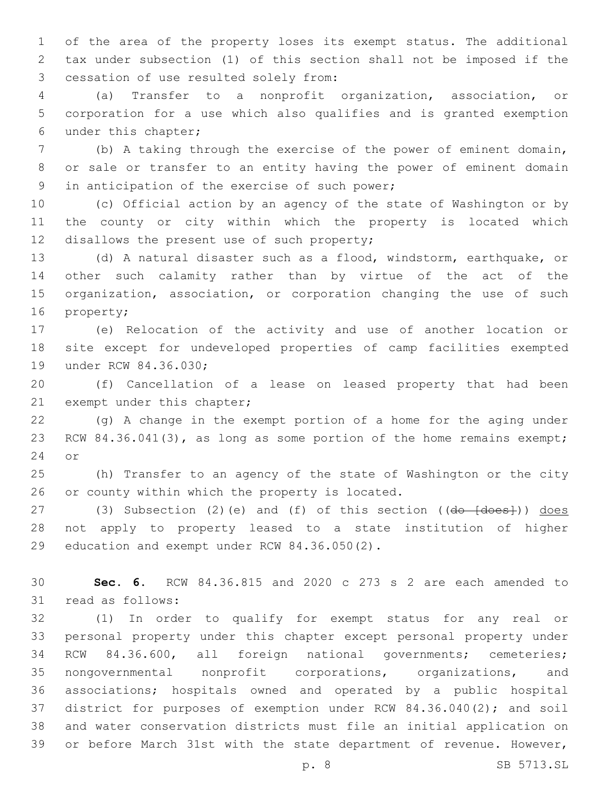of the area of the property loses its exempt status. The additional tax under subsection (1) of this section shall not be imposed if the 3 cessation of use resulted solely from:

 (a) Transfer to a nonprofit organization, association, or corporation for a use which also qualifies and is granted exemption 6 under this chapter;

 (b) A taking through the exercise of the power of eminent domain, or sale or transfer to an entity having the power of eminent domain 9 in anticipation of the exercise of such power;

 (c) Official action by an agency of the state of Washington or by the county or city within which the property is located which 12 disallows the present use of such property;

 (d) A natural disaster such as a flood, windstorm, earthquake, or other such calamity rather than by virtue of the act of the organization, association, or corporation changing the use of such 16 property;

 (e) Relocation of the activity and use of another location or site except for undeveloped properties of camp facilities exempted 19 under RCW 84.36.030;

 (f) Cancellation of a lease on leased property that had been 21 exempt under this chapter;

 (g) A change in the exempt portion of a home for the aging under 23 RCW 84.36.041(3), as long as some portion of the home remains exempt; 24 or

 (h) Transfer to an agency of the state of Washington or the city 26 or county within which the property is located.

27 (3) Subsection (2)(e) and (f) of this section ((do [does])) does not apply to property leased to a state institution of higher 29 education and exempt under RCW 84.36.050(2).

 **Sec. 6.** RCW 84.36.815 and 2020 c 273 s 2 are each amended to 31 read as follows:

 (1) In order to qualify for exempt status for any real or personal property under this chapter except personal property under RCW 84.36.600, all foreign national governments; cemeteries; nongovernmental nonprofit corporations, organizations, and associations; hospitals owned and operated by a public hospital district for purposes of exemption under RCW 84.36.040(2); and soil and water conservation districts must file an initial application on or before March 31st with the state department of revenue. However,

p. 8 SB 5713.SL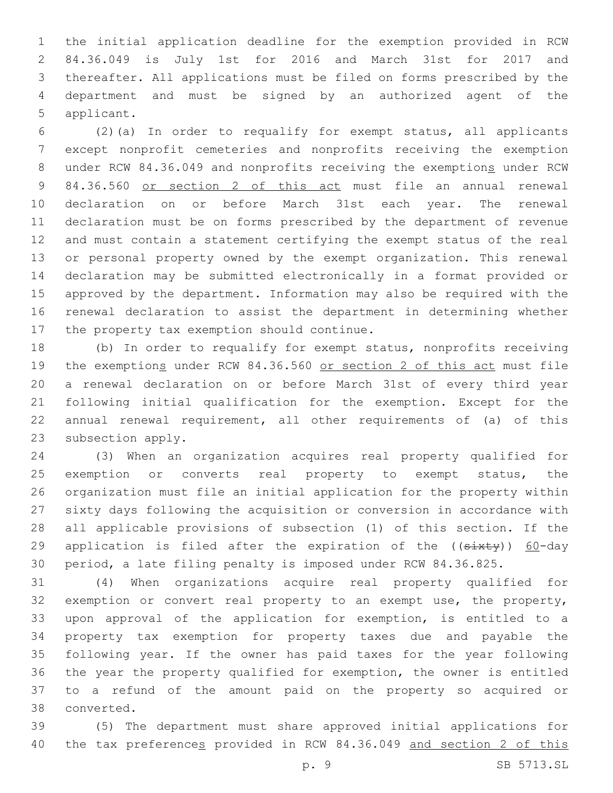the initial application deadline for the exemption provided in RCW 84.36.049 is July 1st for 2016 and March 31st for 2017 and thereafter. All applications must be filed on forms prescribed by the department and must be signed by an authorized agent of the 5 applicant.

 (2)(a) In order to requalify for exempt status, all applicants except nonprofit cemeteries and nonprofits receiving the exemption 8 under RCW 84.36.049 and nonprofits receiving the exemptions under RCW 84.36.560 or section 2 of this act must file an annual renewal declaration on or before March 31st each year. The renewal declaration must be on forms prescribed by the department of revenue and must contain a statement certifying the exempt status of the real or personal property owned by the exempt organization. This renewal declaration may be submitted electronically in a format provided or approved by the department. Information may also be required with the renewal declaration to assist the department in determining whether 17 the property tax exemption should continue.

 (b) In order to requalify for exempt status, nonprofits receiving 19 the exemptions under RCW 84.36.560 or section 2 of this act must file a renewal declaration on or before March 31st of every third year following initial qualification for the exemption. Except for the annual renewal requirement, all other requirements of (a) of this 23 subsection apply.

 (3) When an organization acquires real property qualified for 25 exemption or converts real property to exempt status, the organization must file an initial application for the property within sixty days following the acquisition or conversion in accordance with all applicable provisions of subsection (1) of this section. If the 29 application is filed after the expiration of the  $($ ( $s$ ixty)) 60-day period, a late filing penalty is imposed under RCW 84.36.825.

 (4) When organizations acquire real property qualified for exemption or convert real property to an exempt use, the property, upon approval of the application for exemption, is entitled to a property tax exemption for property taxes due and payable the following year. If the owner has paid taxes for the year following the year the property qualified for exemption, the owner is entitled to a refund of the amount paid on the property so acquired or 38 converted.

 (5) The department must share approved initial applications for the tax preferences provided in RCW 84.36.049 and section 2 of this